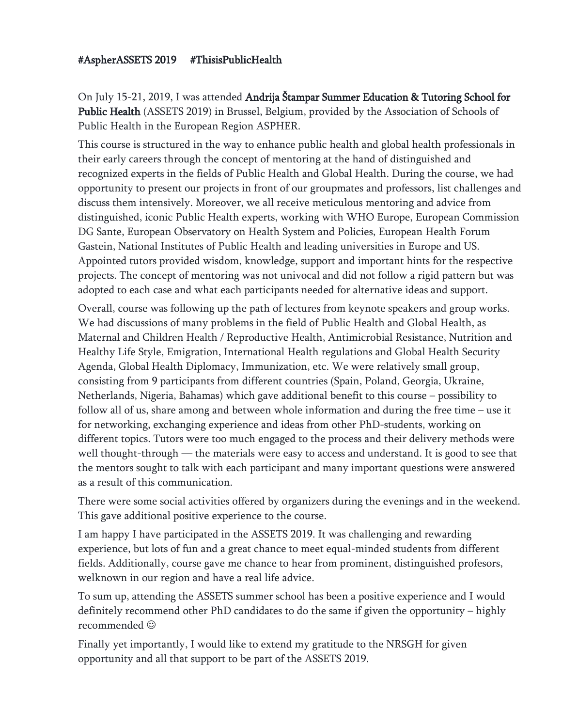## #AspherASSETS 2019 #ThisisPublicHealth

On July 15-21, 2019, I was attended Andrija Štampar Summer Education & Tutoring School for Public Health (ASSETS 2019) in Brussel, Belgium, provided by the Association of Schools of Public Health in the European Region ASPHER.

This course is structured in the way to enhance public health and global health professionals in their early careers through the concept of mentoring at the hand of distinguished and recognized experts in the fields of Public Health and Global Health. During the course, we had opportunity to present our projects in front of our groupmates and professors, list challenges and discuss them intensively. Moreover, we all receive meticulous mentoring and advice from distinguished, iconic Public Health experts, working with WHO Europe, European Commission DG Sante, European Observatory on Health System and Policies, European Health Forum Gastein, National Institutes of Public Health and leading universities in Europe and US. Appointed tutors provided wisdom, knowledge, support and important hints for the respective projects. The concept of mentoring was not univocal and did not follow a rigid pattern but was adopted to each case and what each participants needed for alternative ideas and support.

Overall, course was following up the path of lectures from keynote speakers and group works. We had discussions of many problems in the field of Public Health and Global Health, as Maternal and Children Health / Reproductive Health, Antimicrobial Resistance, Nutrition and Healthy Life Style, Emigration, International Health regulations and Global Health Security Agenda, Global Health Diplomacy, Immunization, etc. We were relatively small group, consisting from 9 participants from different countries (Spain, Poland, Georgia, Ukraine, Netherlands, Nigeria, Bahamas) which gave additional benefit to this course – possibility to follow all of us, share among and between whole information and during the free time – use it for networking, exchanging experience and ideas from other PhD-students, working on different topics. Tutors were too much engaged to the process and their delivery methods were well thought-through — the materials were easy to access and understand. It is good to see that the mentors sought to talk with each participant and many important questions were answered as a result of this communication.

There were some social activities offered by organizers during the evenings and in the weekend. This gave additional positive experience to the course.

I am happy I have participated in the ASSETS 2019. It was challenging and rewarding experience, but lots of fun and a great chance to meet equal-minded students from different fields. Additionally, course gave me chance to hear from prominent, distinguished profesors, welknown in our region and have a real life advice.

To sum up, attending the ASSETS summer school has been a positive experience and I would definitely recommend other PhD candidates to do the same if given the opportunity – highly recommended

Finally yet importantly, I would like to extend my gratitude to the NRSGH for given opportunity and all that support to be part of the ASSETS 2019.